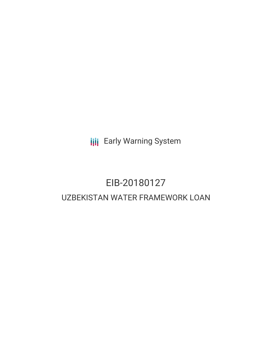**III** Early Warning System

# EIB-20180127 UZBEKISTAN WATER FRAMEWORK LOAN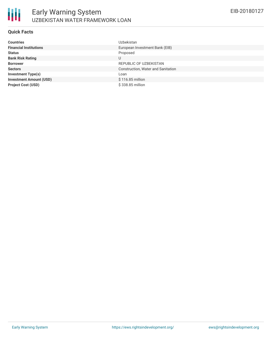

## **Quick Facts**

| <b>Countries</b>               | Uzbekistan                         |
|--------------------------------|------------------------------------|
| <b>Financial Institutions</b>  | European Investment Bank (EIB)     |
| <b>Status</b>                  | Proposed                           |
| <b>Bank Risk Rating</b>        | U                                  |
| <b>Borrower</b>                | REPUBLIC OF UZBEKISTAN             |
| <b>Sectors</b>                 | Construction, Water and Sanitation |
| <b>Investment Type(s)</b>      | Loan                               |
| <b>Investment Amount (USD)</b> | $$116.85$ million                  |
| <b>Project Cost (USD)</b>      | \$338.85 million                   |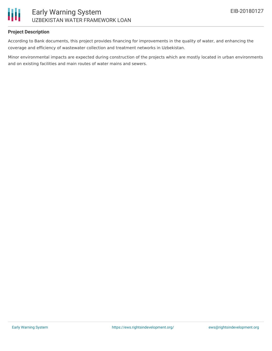

## **Project Description**

According to Bank documents, this project provides financing for improvements in the quality of water, and enhancing the coverage and efficiency of wastewater collection and treatment networks in Uzbekistan.

Minor environmental impacts are expected during construction of the projects which are mostly located in urban environments and on existing facilities and main routes of water mains and sewers.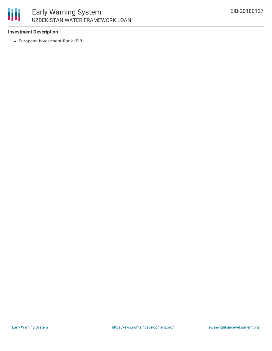# 冊 Early Warning System UZBEKISTAN WATER FRAMEWORK LOAN

## **Investment Description**

European Investment Bank (EIB)